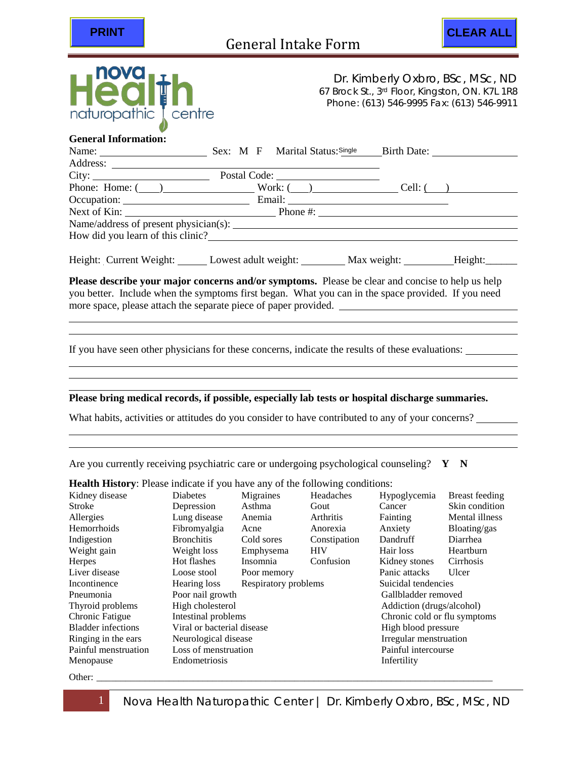



67 Brock St., 3rd Floor, Kingston, ON. K7L 1R8 Phone: (613) 546-9995 Fax: (613) 546-9911

## **General Information:**

| Name: $\frac{1}{\sqrt{1-\frac{1}{2}}\sqrt{1-\frac{1}{2}}\sqrt{1-\frac{1}{2}}\sqrt{1-\frac{1}{2}}\sqrt{1-\frac{1}{2}}}}$ | Sex: M F Marital Status: Single                          |           |  |
|-------------------------------------------------------------------------------------------------------------------------|----------------------------------------------------------|-----------|--|
| Address:                                                                                                                |                                                          |           |  |
| City:                                                                                                                   |                                                          |           |  |
|                                                                                                                         | Phone: Home: $(\_\_)$ Work: $(\_\_)$                     | Cell: ( ) |  |
|                                                                                                                         | Occupation: Email: Email:                                |           |  |
|                                                                                                                         | Next of Kin: Phone #:                                    |           |  |
|                                                                                                                         | Name/address of present physician(s): $\frac{1}{2}$      |           |  |
| How did you learn of this clinic?                                                                                       |                                                          |           |  |
|                                                                                                                         |                                                          |           |  |
|                                                                                                                         | Height: Current Weight: Lowest adult weight: Max weight: | Height:   |  |

**Please describe your major concerns and/or symptoms.** Please be clear and concise to help us help you better. Include when the symptoms first began. What you can in the space provided. If you need more space, please attach the separate piece of paper provided.

If you have seen other physicians for these concerns, indicate the results of these evaluations:

## **Please bring medical records, if possible, especially lab tests or hospital discharge summaries.**

What habits, activities or attitudes do you consider to have contributed to any of your concerns?

Are you currently receiving psychiatric care or undergoing psychological counseling? **Y** N

| <b>Health History:</b> Please indicate if you have any of the following conditions: |                                      |             |              |                              |                |  |
|-------------------------------------------------------------------------------------|--------------------------------------|-------------|--------------|------------------------------|----------------|--|
| Kidney disease                                                                      | <b>Diabetes</b>                      | Migraines   | Headaches    | Hypoglycemia                 | Breast feeding |  |
| Stroke                                                                              | Depression                           | Asthma      | Gout         | Cancer                       | Skin condition |  |
| Allergies                                                                           | Lung disease                         | Anemia      | Arthritis    | Fainting                     | Mental illness |  |
| Hemorrhoids                                                                         | Fibromyalgia                         | Acne        | Anorexia     | Anxiety                      | Bloating/gas   |  |
| Indigestion                                                                         | <b>Bronchitis</b>                    | Cold sores  | Constipation | Dandruff                     | Diarrhea       |  |
| Weight gain                                                                         | Weight loss                          | Emphysema   | <b>HIV</b>   | Hair loss                    | Heartburn      |  |
| Herpes                                                                              | Hot flashes                          | Insomnia    | Confusion    | Kidney stones                | Cirrhosis      |  |
| Liver disease                                                                       | Loose stool                          | Poor memory |              | Panic attacks                | Ulcer          |  |
| Incontinence                                                                        | Respiratory problems<br>Hearing loss |             |              | Suicidal tendencies          |                |  |
| Pneumonia                                                                           | Poor nail growth                     |             |              | Gallbladder removed          |                |  |
| Thyroid problems                                                                    | High cholesterol                     |             |              | Addiction (drugs/alcohol)    |                |  |
| Chronic Fatigue                                                                     | Intestinal problems                  |             |              | Chronic cold or flu symptoms |                |  |
| <b>Bladder</b> infections                                                           | Viral or bacterial disease           |             |              | High blood pressure          |                |  |
| Ringing in the ears                                                                 | Neurological disease                 |             |              | Irregular menstruation       |                |  |
| Painful menstruation                                                                | Loss of menstruation                 |             |              | Painful intercourse          |                |  |
| Menopause                                                                           | Endometriosis                        |             |              | Infertility                  |                |  |

Other: \_\_\_\_\_\_\_\_\_\_\_\_\_\_\_\_\_\_\_\_\_\_\_\_\_\_\_\_\_\_\_\_\_\_\_\_\_\_\_\_\_\_\_\_\_\_\_\_\_\_\_\_\_\_\_\_\_\_\_\_\_\_\_\_\_\_\_\_\_\_\_\_\_\_\_\_\_\_\_\_\_\_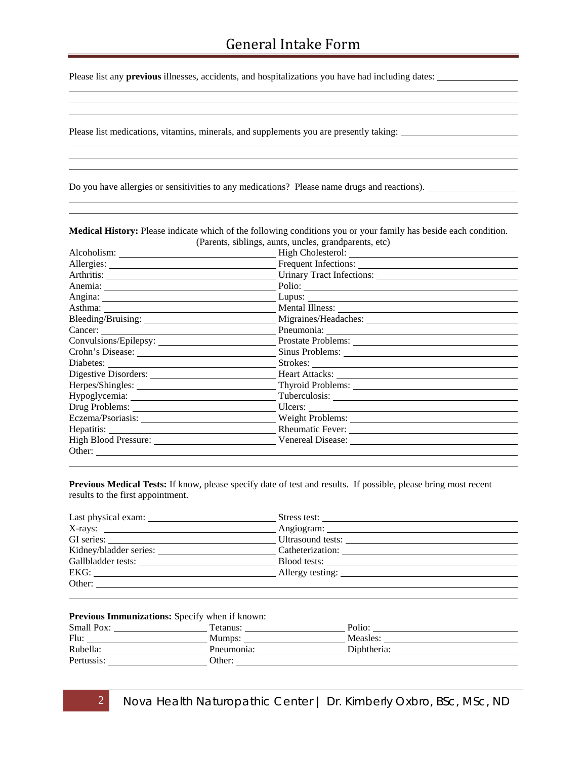Please list any **previous** illnesses, accidents, and hospitalizations you have had including dates:

Please list medications, vitamins, minerals, and supplements you are presently taking:

Do you have allergies or sensitivities to any medications? Please name drugs and reactions).

|                        | Medical History: Please indicate which of the following conditions you or your family has beside each condition. |
|------------------------|------------------------------------------------------------------------------------------------------------------|
|                        | (Parents, siblings, aunts, uncles, grandparents, etc)                                                            |
|                        |                                                                                                                  |
|                        |                                                                                                                  |
|                        | Arthritis: Urinary Tract Infections: University Charles Contains and Tract Infections:                           |
|                        |                                                                                                                  |
|                        |                                                                                                                  |
|                        |                                                                                                                  |
|                        |                                                                                                                  |
|                        |                                                                                                                  |
| Convulsions/Epilepsy:  |                                                                                                                  |
|                        |                                                                                                                  |
|                        |                                                                                                                  |
| Digestive Disorders:   |                                                                                                                  |
|                        |                                                                                                                  |
|                        |                                                                                                                  |
| Drug Problems:         | Ulcers:                                                                                                          |
|                        |                                                                                                                  |
|                        |                                                                                                                  |
| High Blood Pressure:   |                                                                                                                  |
| Other: $\qquad \qquad$ |                                                                                                                  |

**Previous Medical Tests:** If know, please specify date of test and results. If possible, please bring most recent results to the first appointment.

| Last physical exam:    | Stress test:      |
|------------------------|-------------------|
|                        |                   |
| GI series:             | Ultrasound tests: |
| Kidney/bladder series: | Catheterization:  |
| Gallbladder tests:     | Blood tests:      |
| EKG:                   | Allergy testing:  |
| Other:                 |                   |

**Previous Immunizations:** Specify when if known:

| Small Pox: | Tetanus:   | Polio:      |
|------------|------------|-------------|
| Flu:       | Mumps:     | Measles:    |
| Rubella:   | Pneumonia: | Diphtheria: |
| Pertussis: | Other:     |             |